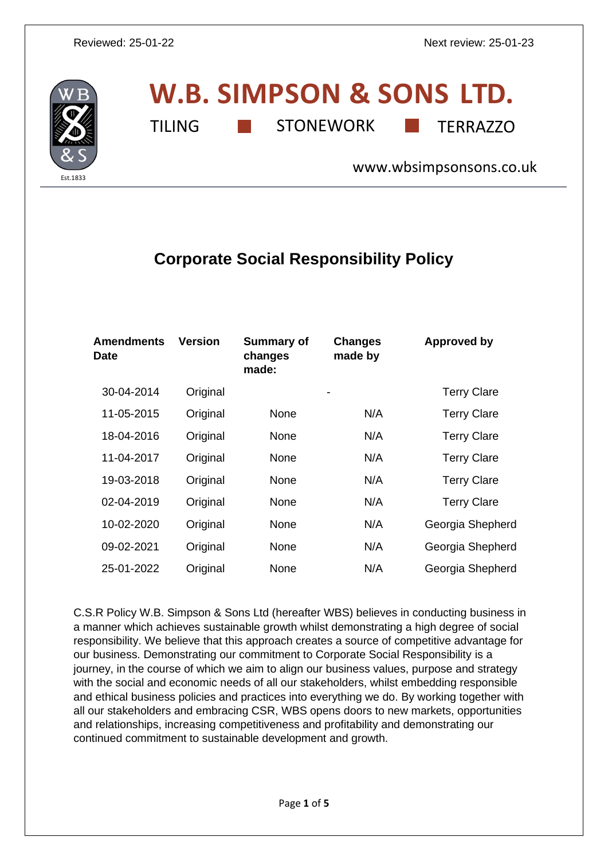

# **W.B. SIMPSON & SONS LTD.** TILING **THE STONEWORK** TERRAZZO

[www.wbsimpsonsons.co.uk](http://www.wbsimpsonsons.co.uk/)

## **Corporate Social Responsibility Policy**

| <b>Amendments</b><br><b>Date</b> | <b>Version</b> | <b>Summary of</b><br>changes<br>made: | <b>Changes</b><br>made by | <b>Approved by</b> |
|----------------------------------|----------------|---------------------------------------|---------------------------|--------------------|
| 30-04-2014                       | Original       |                                       |                           | <b>Terry Clare</b> |
| 11-05-2015                       | Original       | None                                  | N/A                       | <b>Terry Clare</b> |
| 18-04-2016                       | Original       | None                                  | N/A                       | <b>Terry Clare</b> |
| 11-04-2017                       | Original       | None                                  | N/A                       | <b>Terry Clare</b> |
| 19-03-2018                       | Original       | None                                  | N/A                       | <b>Terry Clare</b> |
| 02-04-2019                       | Original       | None                                  | N/A                       | <b>Terry Clare</b> |
| 10-02-2020                       | Original       | None                                  | N/A                       | Georgia Shepherd   |
| 09-02-2021                       | Original       | None                                  | N/A                       | Georgia Shepherd   |
| 25-01-2022                       | Original       | None                                  | N/A                       | Georgia Shepherd   |

C.S.R Policy W.B. Simpson & Sons Ltd (hereafter WBS) believes in conducting business in a manner which achieves sustainable growth whilst demonstrating a high degree of social responsibility. We believe that this approach creates a source of competitive advantage for our business. Demonstrating our commitment to Corporate Social Responsibility is a journey, in the course of which we aim to align our business values, purpose and strategy with the social and economic needs of all our stakeholders, whilst embedding responsible and ethical business policies and practices into everything we do. By working together with all our stakeholders and embracing CSR, WBS opens doors to new markets, opportunities and relationships, increasing competitiveness and profitability and demonstrating our continued commitment to sustainable development and growth.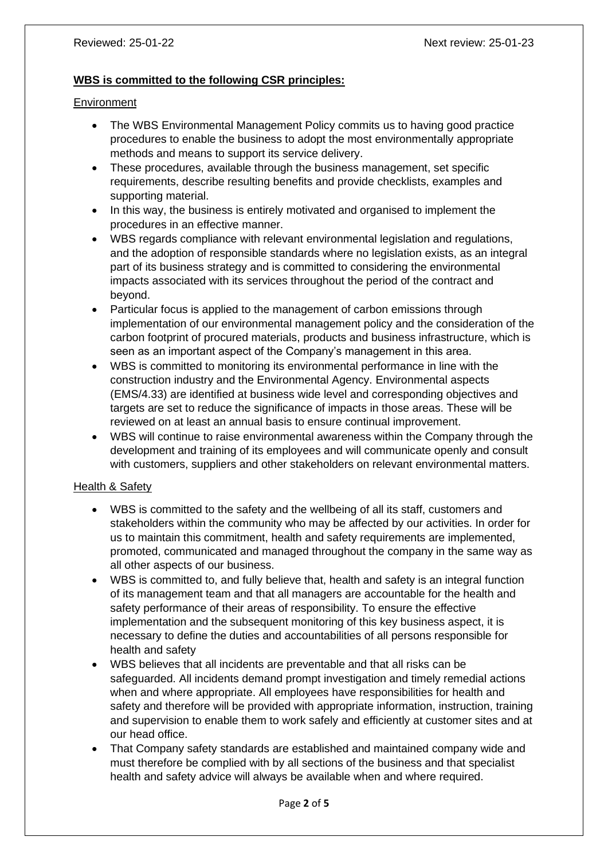#### **WBS is committed to the following CSR principles:**

#### **Environment**

- The WBS Environmental Management Policy commits us to having good practice procedures to enable the business to adopt the most environmentally appropriate methods and means to support its service delivery.
- These procedures, available through the business management, set specific requirements, describe resulting benefits and provide checklists, examples and supporting material.
- In this way, the business is entirely motivated and organised to implement the procedures in an effective manner.
- WBS regards compliance with relevant environmental legislation and regulations, and the adoption of responsible standards where no legislation exists, as an integral part of its business strategy and is committed to considering the environmental impacts associated with its services throughout the period of the contract and beyond.
- Particular focus is applied to the management of carbon emissions through implementation of our environmental management policy and the consideration of the carbon footprint of procured materials, products and business infrastructure, which is seen as an important aspect of the Company's management in this area.
- WBS is committed to monitoring its environmental performance in line with the construction industry and the Environmental Agency. Environmental aspects (EMS/4.33) are identified at business wide level and corresponding objectives and targets are set to reduce the significance of impacts in those areas. These will be reviewed on at least an annual basis to ensure continual improvement.
- WBS will continue to raise environmental awareness within the Company through the development and training of its employees and will communicate openly and consult with customers, suppliers and other stakeholders on relevant environmental matters.

#### Health & Safety

- WBS is committed to the safety and the wellbeing of all its staff, customers and stakeholders within the community who may be affected by our activities. In order for us to maintain this commitment, health and safety requirements are implemented, promoted, communicated and managed throughout the company in the same way as all other aspects of our business.
- WBS is committed to, and fully believe that, health and safety is an integral function of its management team and that all managers are accountable for the health and safety performance of their areas of responsibility. To ensure the effective implementation and the subsequent monitoring of this key business aspect, it is necessary to define the duties and accountabilities of all persons responsible for health and safety
- WBS believes that all incidents are preventable and that all risks can be safeguarded. All incidents demand prompt investigation and timely remedial actions when and where appropriate. All employees have responsibilities for health and safety and therefore will be provided with appropriate information, instruction, training and supervision to enable them to work safely and efficiently at customer sites and at our head office.
- That Company safety standards are established and maintained company wide and must therefore be complied with by all sections of the business and that specialist health and safety advice will always be available when and where required.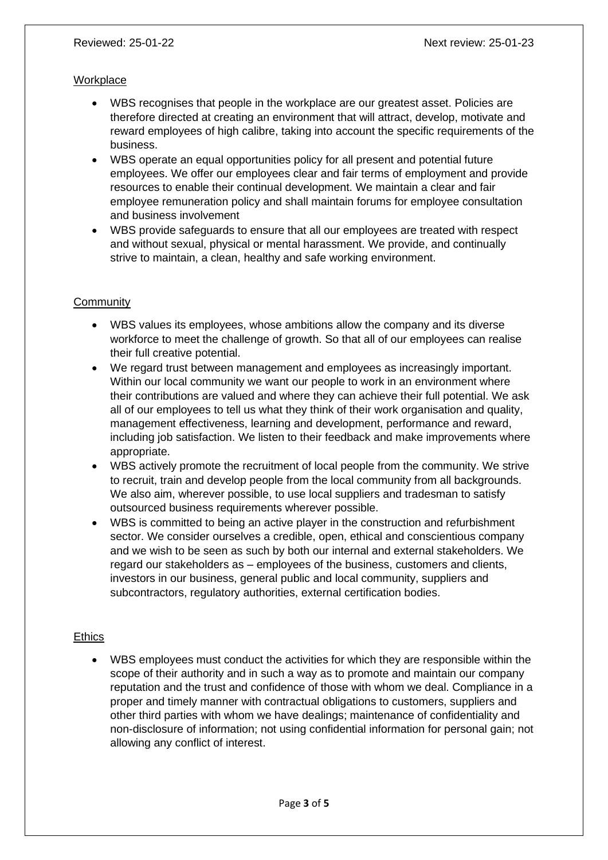#### **Workplace**

- WBS recognises that people in the workplace are our greatest asset. Policies are therefore directed at creating an environment that will attract, develop, motivate and reward employees of high calibre, taking into account the specific requirements of the business.
- WBS operate an equal opportunities policy for all present and potential future employees. We offer our employees clear and fair terms of employment and provide resources to enable their continual development. We maintain a clear and fair employee remuneration policy and shall maintain forums for employee consultation and business involvement
- WBS provide safeguards to ensure that all our employees are treated with respect and without sexual, physical or mental harassment. We provide, and continually strive to maintain, a clean, healthy and safe working environment.

### **Community**

- WBS values its employees, whose ambitions allow the company and its diverse workforce to meet the challenge of growth. So that all of our employees can realise their full creative potential.
- We regard trust between management and employees as increasingly important. Within our local community we want our people to work in an environment where their contributions are valued and where they can achieve their full potential. We ask all of our employees to tell us what they think of their work organisation and quality, management effectiveness, learning and development, performance and reward, including job satisfaction. We listen to their feedback and make improvements where appropriate.
- WBS actively promote the recruitment of local people from the community. We strive to recruit, train and develop people from the local community from all backgrounds. We also aim, wherever possible, to use local suppliers and tradesman to satisfy outsourced business requirements wherever possible.
- WBS is committed to being an active player in the construction and refurbishment sector. We consider ourselves a credible, open, ethical and conscientious company and we wish to be seen as such by both our internal and external stakeholders. We regard our stakeholders as – employees of the business, customers and clients, investors in our business, general public and local community, suppliers and subcontractors, regulatory authorities, external certification bodies.

### **Ethics**

• WBS employees must conduct the activities for which they are responsible within the scope of their authority and in such a way as to promote and maintain our company reputation and the trust and confidence of those with whom we deal. Compliance in a proper and timely manner with contractual obligations to customers, suppliers and other third parties with whom we have dealings; maintenance of confidentiality and non-disclosure of information; not using confidential information for personal gain; not allowing any conflict of interest.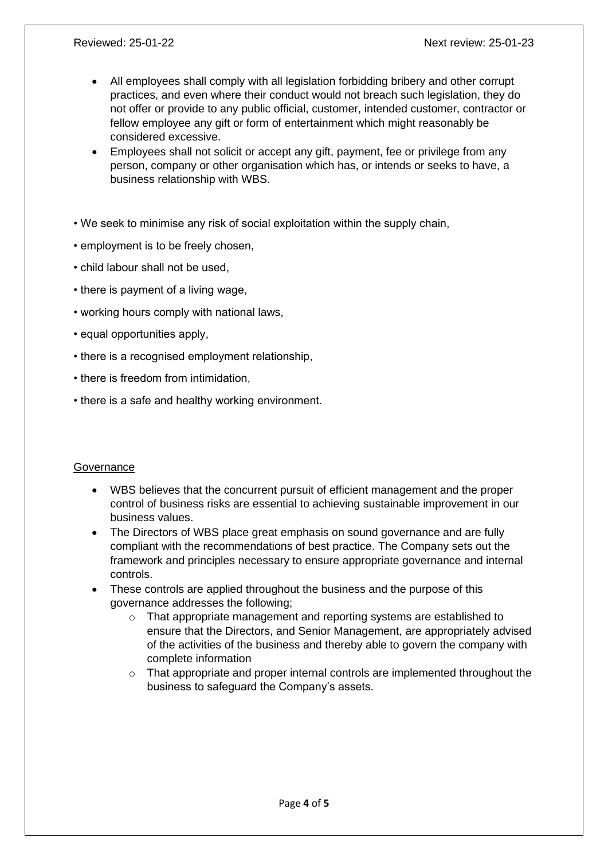- All employees shall comply with all legislation forbidding bribery and other corrupt practices, and even where their conduct would not breach such legislation, they do not offer or provide to any public official, customer, intended customer, contractor or fellow employee any gift or form of entertainment which might reasonably be considered excessive.
- Employees shall not solicit or accept any gift, payment, fee or privilege from any person, company or other organisation which has, or intends or seeks to have, a business relationship with WBS.
- We seek to minimise any risk of social exploitation within the supply chain,
- employment is to be freely chosen,
- child labour shall not be used,
- there is payment of a living wage,
- working hours comply with national laws,
- equal opportunities apply,
- there is a recognised employment relationship,
- there is freedom from intimidation,
- there is a safe and healthy working environment.

### **Governance**

- WBS believes that the concurrent pursuit of efficient management and the proper control of business risks are essential to achieving sustainable improvement in our business values.
- The Directors of WBS place great emphasis on sound governance and are fully compliant with the recommendations of best practice. The Company sets out the framework and principles necessary to ensure appropriate governance and internal controls.
- These controls are applied throughout the business and the purpose of this governance addresses the following;
	- o That appropriate management and reporting systems are established to ensure that the Directors, and Senior Management, are appropriately advised of the activities of the business and thereby able to govern the company with complete information
	- $\circ$  That appropriate and proper internal controls are implemented throughout the business to safeguard the Company's assets.